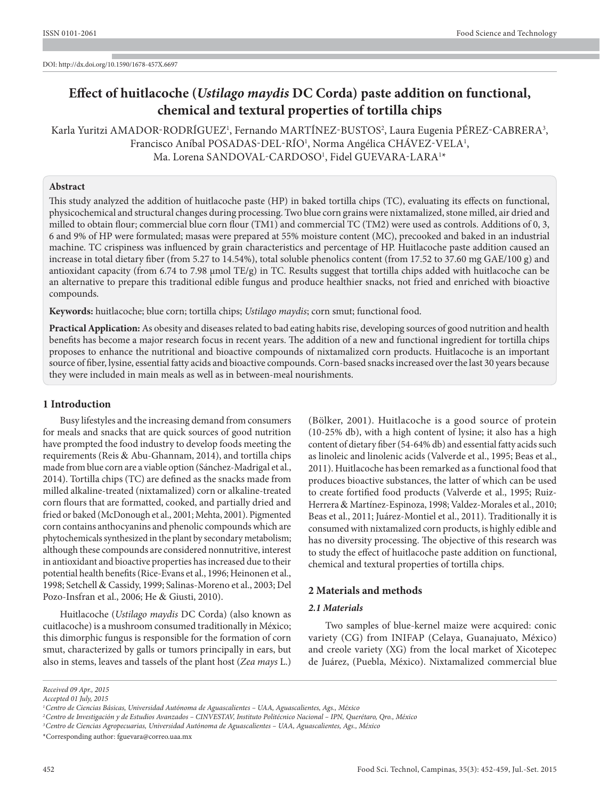# **Effect of huitlacoche (***Ustilago maydis* **DC Corda) paste addition on functional, chemical and textural properties of tortilla chips**

Karla Yuritzi AMADOR-RODRÍGUEZ<sup>1</sup>, Fernando MARTÍNEZ-BUSTOS<sup>2</sup>, Laura Eugenia PÉREZ-CABRERA<sup>3</sup>, Francisco Aníbal POSADAS-DEL-RÍO<sup>1</sup>, Norma Angélica CHÁVEZ-VELA<sup>1</sup>, Ma. Lorena SANDOVAL-CARDOSO<sup>1</sup>, Fidel GUEVARA-LARA<sup>1</sup>\*

# **Abstract**

This study analyzed the addition of huitlacoche paste (HP) in baked tortilla chips (TC), evaluating its effects on functional, physicochemical and structural changes during processing. Two blue corn grains were nixtamalized, stone milled, air dried and milled to obtain flour; commercial blue corn flour (TM1) and commercial TC (TM2) were used as controls. Additions of 0, 3, 6 and 9% of HP were formulated; masas were prepared at 55% moisture content (MC), precooked and baked in an industrial machine. TC crispiness was influenced by grain characteristics and percentage of HP. Huitlacoche paste addition caused an increase in total dietary fiber (from 5.27 to 14.54%), total soluble phenolics content (from 17.52 to 37.60 mg GAE/100 g) and antioxidant capacity (from 6.74 to 7.98 μmol TE/g) in TC. Results suggest that tortilla chips added with huitlacoche can be an alternative to prepare this traditional edible fungus and produce healthier snacks, not fried and enriched with bioactive compounds.

**Keywords:** huitlacoche; blue corn; tortilla chips; *Ustilago maydis*; corn smut; functional food.

**Practical Application:** As obesity and diseases related to bad eating habits rise, developing sources of good nutrition and health benefits has become a major research focus in recent years. The addition of a new and functional ingredient for tortilla chips proposes to enhance the nutritional and bioactive compounds of nixtamalized corn products. Huitlacoche is an important source of fiber, lysine, essential fatty acids and bioactive compounds. Corn-based snacks increased over the last 30 years because they were included in main meals as well as in between-meal nourishments.

## **1 Introduction**

Busy lifestyles and the increasing demand from consumers for meals and snacks that are quick sources of good nutrition have prompted the food industry to develop foods meeting the requirements (Reis & Abu-Ghannam, 2014), and tortilla chips made from blue corn are a viable option (Sánchez-Madrigal et al., 2014). Tortilla chips (TC) are defined as the snacks made from milled alkaline-treated (nixtamalized) corn or alkaline-treated corn flours that are formatted, cooked, and partially dried and fried or baked (McDonough et al., 2001; Mehta, 2001). Pigmented corn contains anthocyanins and phenolic compounds which are phytochemicals synthesized in the plant by secondary metabolism; although these compounds are considered nonnutritive, interest in antioxidant and bioactive properties has increased due to their potential health benefits (Rice-Evans et al., 1996; Heinonen et al., 1998; Setchell & Cassidy, 1999; Salinas-Moreno et al., 2003; Del Pozo-Insfran et al., 2006; He & Giusti, 2010).

Huitlacoche (*Ustilago maydis* DC Corda) (also known as cuitlacoche) is a mushroom consumed traditionally in México; this dimorphic fungus is responsible for the formation of corn smut, characterized by galls or tumors principally in ears, but also in stems, leaves and tassels of the plant host (*Zea mays* L.)

(Bölker, 2001). Huitlacoche is a good source of protein (10-25% db), with a high content of lysine; it also has a high content of dietary fiber (54-64% db) and essential fatty acids such as linoleic and linolenic acids (Valverde et al., 1995; Beas et al., 2011). Huitlacoche has been remarked as a functional food that produces bioactive substances, the latter of which can be used to create fortified food products (Valverde et al., 1995; Ruiz-Herrera & Martínez-Espinoza, 1998; Valdez-Morales et al., 2010; Beas et al., 2011; Juárez-Montiel et al., 2011). Traditionally it is consumed with nixtamalized corn products, is highly edible and has no diversity processing. The objective of this research was to study the effect of huitlacoche paste addition on functional, chemical and textural properties of tortilla chips.

## **2 Materials and methods**

## *2.1 Materials*

Two samples of blue-kernel maize were acquired: conic variety (CG) from INIFAP (Celaya, Guanajuato, México) and creole variety (XG) from the local market of Xicotepec de Juárez, (Puebla, México). Nixtamalized commercial blue

\*Corresponding author: fguevara@correo.uaa.mx

*Received 09 Apr., 2015*

*Accepted 01 July, 2015*

*<sup>1</sup>Centro de Ciencias Básicas, Universidad Autónoma de Aguascalientes – UAA, Aguascalientes, Ags., México*

*<sup>2</sup>Centro de Investigación y de Estudios Avanzados – CINVESTAV, Instituto Politécnico Nacional – IPN, Querétaro, Qro., México*

*<sup>3</sup>Centro de Ciencias Agropecuarias, Universidad Autónoma de Aguascalientes – UAA, Aguascalientes, Ags., México*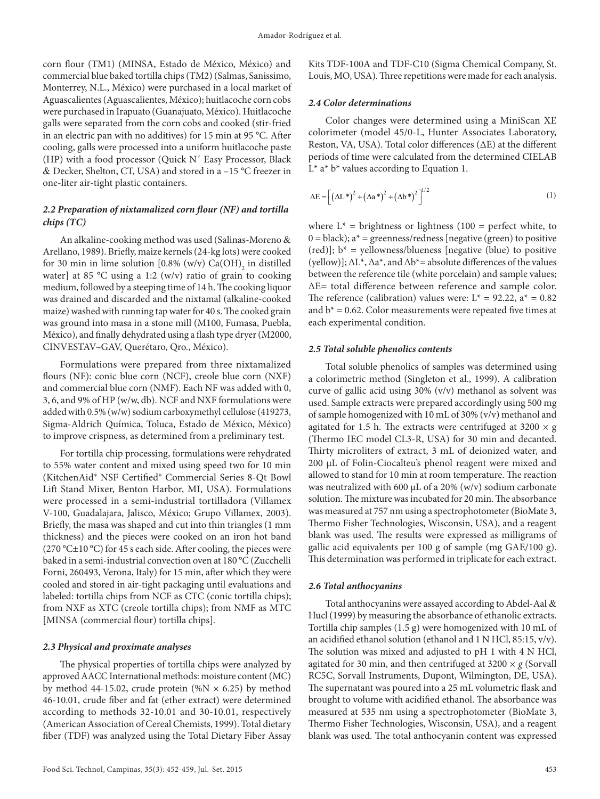corn flour (TM1) (MINSA, Estado de México, México) and commercial blue baked tortilla chips (TM2) (Salmas, Sanissimo, Monterrey, N.L., México) were purchased in a local market of Aguascalientes (Aguascalientes, México); huitlacoche corn cobs were purchased in Irapuato (Guanajuato, México). Huitlacoche galls were separated from the corn cobs and cooked (stir-fried in an electric pan with no additives) for 15 min at 95 °C. After cooling, galls were processed into a uniform huitlacoche paste (HP) with a food processor (Quick N´ Easy Processor, Black & Decker, Shelton, CT, USA) and stored in a –15 °C freezer in one-liter air-tight plastic containers.

# *2.2 Preparation of nixtamalized corn flour (NF) and tortilla chips (TC)*

An alkaline-cooking method was used (Salinas-Moreno & Arellano, 1989). Briefly, maize kernels (24-kg lots) were cooked for 30 min in lime solution  $[0.8\%$  (w/v)  $Ca(OH)$ <sub>2</sub> in distilled water] at 85 °C using a 1:2 (w/v) ratio of grain to cooking medium, followed by a steeping time of 14 h. The cooking liquor was drained and discarded and the nixtamal (alkaline-cooked maize) washed with running tap water for 40 s. The cooked grain was ground into masa in a stone mill (M100, Fumasa, Puebla, México), and finally dehydrated using a flash type dryer (M2000, CINVESTAV–GAV, Querétaro, Qro., México).

Formulations were prepared from three nixtamalized flours (NF): conic blue corn (NCF), creole blue corn (NXF) and commercial blue corn (NMF). Each NF was added with 0, 3, 6, and 9% of HP (w/w, db). NCF and NXF formulations were added with 0.5% (w/w) sodium carboxymethyl cellulose (419273, Sigma-Aldrich Química, Toluca, Estado de México, México) to improve crispness, as determined from a preliminary test.

For tortilla chip processing, formulations were rehydrated to 55% water content and mixed using speed two for 10 min (KitchenAid® NSF Certified® Commercial Series 8-Qt Bowl Lift Stand Mixer, Benton Harbor, MI, USA). Formulations were processed in a semi-industrial tortilladora (Villamex V-100, Guadalajara, Jalisco, México; Grupo Villamex, 2003). Briefly, the masa was shaped and cut into thin triangles (1 mm thickness) and the pieces were cooked on an iron hot band (270 °C±10 °C) for 45 s each side. After cooling, the pieces were baked in a semi-industrial convection oven at 180 °C (Zucchelli Forni, 260493, Verona, Italy) for 15 min, after which they were cooled and stored in air-tight packaging until evaluations and labeled: tortilla chips from NCF as CTC (conic tortilla chips); from NXF as XTC (creole tortilla chips); from NMF as MTC [MINSA (commercial flour) tortilla chips].

## *2.3 Physical and proximate analyses*

The physical properties of tortilla chips were analyzed by approved AACC International methods: moisture content (MC) by method 44-15.02, crude protein (%N  $\times$  6.25) by method 46-10.01, crude fiber and fat (ether extract) were determined according to methods 32-10.01 and 30-10.01, respectively (American Association of Cereal Chemists, 1999). Total dietary fiber (TDF) was analyzed using the Total Dietary Fiber Assay

Kits TDF-100A and TDF-C10 (Sigma Chemical Company, St. Louis, MO, USA). Three repetitions were made for each analysis.

#### *2.4 Color determinations*

Color changes were determined using a MiniScan XE colorimeter (model 45/0-L, Hunter Associates Laboratory, Reston, VA, USA). Total color differences (ΔE) at the different periods of time were calculated from the determined CIELAB  $L^*$  a<sup>\*</sup> b<sup>\*</sup> values according to Equation 1.

$$
\Delta E = \left[ \left( \Delta L^* \right)^2 + \left( \Delta a^* \right)^2 + \left( \Delta b^* \right)^2 \right]^{1/2} \tag{1}
$$

where  $L^*$  = brightness or lightness (100 = perfect white, to  $0 = black$ ;  $a^* = greenness/redness$  [negative (green) to positive (red)];  $b^*$  = yellowness/blueness [negative (blue) to positive (yellow)];  $\Delta L^*$ ,  $\Delta a^*$ , and  $\Delta b^*$  = absolute differences of the values between the reference tile (white porcelain) and sample values; ΔE= total difference between reference and sample color. The reference (calibration) values were:  $L^* = 92.22$ ,  $a^* = 0.82$ and  $b^*$  = 0.62. Color measurements were repeated five times at each experimental condition.

#### *2.5 Total soluble phenolics contents*

Total soluble phenolics of samples was determined using a colorimetric method (Singleton et al., 1999). A calibration curve of gallic acid using 30% (v/v) methanol as solvent was used. Sample extracts were prepared accordingly using 500 mg of sample homogenized with 10 mL of 30% (v/v) methanol and agitated for 1.5 h. The extracts were centrifuged at  $3200 \times g$ (Thermo IEC model CL3-R, USA) for 30 min and decanted. Thirty microliters of extract, 3 mL of deionized water, and 200 μL of Folin-Ciocalteu's phenol reagent were mixed and allowed to stand for 10 min at room temperature. The reaction was neutralized with 600 μL of a 20% (w/v) sodium carbonate solution. The mixture was incubated for 20 min. The absorbance was measured at 757 nm using a spectrophotometer (BioMate 3, Thermo Fisher Technologies, Wisconsin, USA), and a reagent blank was used. The results were expressed as milligrams of gallic acid equivalents per 100 g of sample (mg GAE/100 g). This determination was performed in triplicate for each extract.

#### *2.6 Total anthocyanins*

Total anthocyanins were assayed according to Abdel-Aal & Hucl (1999) by measuring the absorbance of ethanolic extracts. Tortilla chip samples (1.5 g) were homogenized with 10 mL of an acidified ethanol solution (ethanol and 1 N HCl, 85:15, v/v). The solution was mixed and adjusted to pH 1 with 4 N HCl, agitated for 30 min, and then centrifuged at  $3200 \times g$  (Sorvall RC5C, Sorvall Instruments, Dupont, Wilmington, DE, USA). The supernatant was poured into a 25 mL volumetric flask and brought to volume with acidified ethanol. The absorbance was measured at 535 nm using a spectrophotometer (BioMate 3, Thermo Fisher Technologies, Wisconsin, USA), and a reagent blank was used. The total anthocyanin content was expressed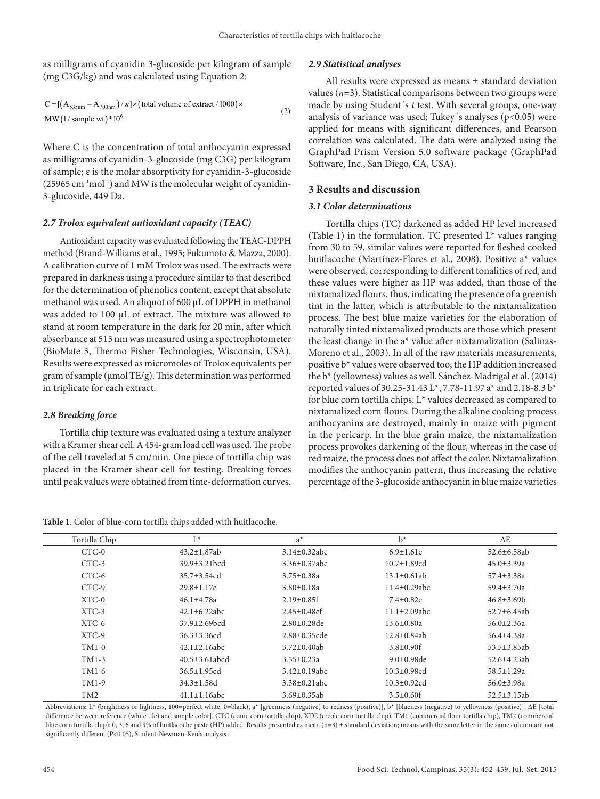as milligrams of cyanidin 3-glucoside per kilogram of sample (mg C3G/kg) and was calculated using Equation 2:

$$
C = [(A_{535nm} - A_{700nm})/\varepsilon] \times (total volume of extract / 1000) \times
$$
  
MW (1/sample wt)\*10<sup>6</sup> (2)

Where C is the concentration of total anthocyanin expressed as milligrams of cyanidin-3-glucoside (mg C3G) per kilogram of sample; ε is the molar absorptivity for cyanidin-3-glucoside  $(25965 \text{ cm}^{-1}\text{mol}^{-1})$  and MW is the molecular weight of cyanidin-3-glucoside, 449 Da.

#### *2.7 Trolox equivalent antioxidant capacity (TEAC)*

Antioxidant capacity was evaluated following the TEAC-DPPH method (Brand-Williams et al., 1995; Fukumoto & Mazza, 2000). A calibration curve of 1 mM Trolox was used. The extracts were prepared in darkness using a procedure similar to that described for the determination of phenolics content, except that absolute methanol was used. An aliquot of 600 μL of DPPH in methanol was added to 100 μL of extract. The mixture was allowed to stand at room temperature in the dark for 20 min, after which absorbance at 515 nm was measured using a spectrophotometer (BioMate 3, Thermo Fisher Technologies, Wisconsin, USA). Results were expressed as micromoles of Trolox equivalents per gram of sample (μmol TE/g). This determination was performed in triplicate for each extract.

## *2.8 Breaking force*

Tortilla chip texture was evaluated using a texture analyzer with a Kramer shear cell. A 454-gram load cell was used. The probe of the cell traveled at 5 cm/min. One piece of tortilla chip was placed in the Kramer shear cell for testing. Breaking forces until peak values were obtained from time-deformation curves.

**Table 1**. Color of blue-corn tortilla chips added with huitlacoche.

## *2.9 Statistical analyses*

All results were expressed as means ± standard deviation values  $(n=3)$ . Statistical comparisons between two groups were made by using Student´s *t* test. With several groups, one-way analysis of variance was used; Tukey´s analyses (p<0.05) were applied for means with significant differences, and Pearson correlation was calculated. The data were analyzed using the GraphPad Prism Version 5.0 software package (GraphPad Software, Inc., San Diego, CA, USA).

# **3 Results and discussion**

#### *3.1 Color determinations*

Tortilla chips (TC) darkened as added HP level increased (Table 1) in the formulation. TC presented  $L^*$  values ranging from 30 to 59, similar values were reported for fleshed cooked huitlacoche (Martínez-Flores et al., 2008). Positive a\* values were observed, corresponding to different tonalities of red, and these values were higher as HP was added, than those of the nixtamalized flours, thus, indicating the presence of a greenish tint in the latter, which is attributable to the nixtamalization process. The best blue maize varieties for the elaboration of naturally tinted nixtamalized products are those which present the least change in the a\* value after nixtamalization (Salinas-Moreno et al., 2003). In all of the raw materials measurements, positive b\* values were observed too; the HP addition increased the b\* (yellowness) values as well. Sánchez-Madrigal et al. (2014) reported values of 30.25-31.43 L\*, 7.78-11.97 a\* and 2.18-8.3 b\* for blue corn tortilla chips. L\* values decreased as compared to nixtamalized corn flours. During the alkaline cooking process anthocyanins are destroyed, mainly in maize with pigment in the pericarp. In the blue grain maize, the nixtamalization process provokes darkening of the flour, whereas in the case of red maize, the process does not affect the color. Nixtamalization modifies the anthocyanin pattern, thus increasing the relative percentage of the 3-glucoside anthocyanin in blue maize varieties

| Tortilla Chip   | $L^*$                        | $a^*$               | $b^*$               | $\Delta E$         |
|-----------------|------------------------------|---------------------|---------------------|--------------------|
| $CTC-0$         | $43.2 \pm 1.87$ ab           | $3.14 \pm 0.32$ abc | $6.9 \pm 1.61e$     | $52.6 + 6.58$ ab   |
| $CTC-3$         | $39.9 + 3.21$ <sub>bcd</sub> | $3.36 \pm 0.37$ abc | $10.7 \pm 1.89$ cd  | $45.0 \pm 3.39a$   |
| CTC-6           | $35.7 \pm 3.54$ cd           | $3.75 \pm 0.38a$    | $13.1 \pm 0.61$ ab  | $57.4 \pm 3.38a$   |
| $CTC-9$         | $29.8 \pm 1.17e$             | $3.80 \pm 0.18a$    | $11.4 + 0.29$ abc   | 59.4±3.70a         |
| $XTC-0$         | $46.1 \pm 4.78a$             | $2.19 \pm 0.85$ f   | $7.4 \pm 0.82e$     | $46.8 \pm 3.69 b$  |
| $XTC-3$         | $42.1 \pm 6.22$ abc          | $2.45 \pm 0.48$ ef  | $11.1 \pm 2.09$ abc | $52.7 \pm 6.45$ ab |
| $XTC-6$         | $37.9 + 2.69$ <sub>bcd</sub> | $2.80 \pm 0.28$ de  | $13.6 \pm 0.80a$    | $56.0 \pm 2.36a$   |
| $XTC-9$         | $36.3 + 3.36cd$              | $2.88 \pm 0.35$ cde | $12.8 \pm 0.84$ ab  | $56.4 + 4.38a$     |
| $TM1-0$         | $42.1 \pm 2.16$ abc          | $3.72 \pm 0.40$ ab  | $3.8 + 0.90$ f      | 53.5±3.85ab        |
| $TM1-3$         | $40.5 \pm 3.61$ abcd         | $3.55 \pm 0.23a$    | $9.0+0.98$ de       | $52.6 + 4.23ab$    |
| $TM1-6$         | $36.5 \pm 1.95$ cd           | $3.42 \pm 0.19$ abc | $10.3 \pm 0.98$ cd  | $58.5 \pm 1.29a$   |
| TM1-9           | $34.3 \pm 1.58$ d            | $3.38 \pm 0.21$ abc | $10.3 \pm 0.92$ cd  | $56.0 \pm 3.98a$   |
| TM <sub>2</sub> | $41.1 \pm 1.16$ abc          | $3.69 \pm 0.35$ ab  | $3.5 \pm 0.60$ f    | $52.5 \pm 3.15$ ab |

Abbreviations: L\* (brightness or lightness, 100=perfect white, 0=black), a\* [greenness (negative) to redness (positive)], b\* [blueness (negative) to yellowness (positive)], ΔE [total difference between reference (white tile) and sample color], CTC (conic corn tortilla chip), XTC (creole corn tortilla chip), TM1 (commercial flour tortilla chip), TM2 (commercial blue corn tortilla chip); 0, 3, 6 and 9% of huitlacoche paste (HP) added. Results presented as mean  $(n=3) \pm$  standard deviation; means with the same letter in the same column are not significantly different (P<0.05), Student-Newman-Keuls analysis.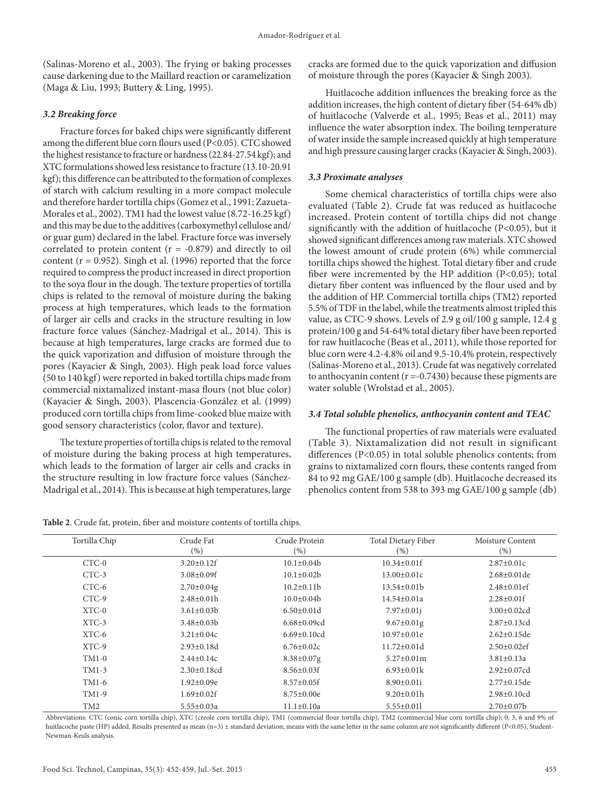(Salinas-Moreno et al., 2003). The frying or baking processes cause darkening due to the Maillard reaction or caramelization (Maga & Liu, 1993; Buttery & Ling, 1995).

# *3.2 Breaking force*

Fracture forces for baked chips were significantly different among the different blue corn flours used (P<0.05). CTC showed the highest resistance to fracture or hardness (22.84-27.54 kgf); and XTC formulations showed less resistance to fracture (13.10-20.91 kgf); this difference can be attributed to the formation of complexes of starch with calcium resulting in a more compact molecule and therefore harder tortilla chips (Gomez et al., 1991; Zazueta-Morales et al., 2002). TM1 had the lowest value (8.72-16.25 kgf) and this may be due to the additives (carboxymethyl cellulose and/ or guar gum) declared in the label. Fracture force was inversely correlated to protein content  $(r = -0.879)$  and directly to oil content ( $r = 0.952$ ). Singh et al. (1996) reported that the force required to compress the product increased in direct proportion to the soya flour in the dough. The texture properties of tortilla chips is related to the removal of moisture during the baking process at high temperatures, which leads to the formation of larger air cells and cracks in the structure resulting in low fracture force values (Sánchez-Madrigal et al., 2014). This is because at high temperatures, large cracks are formed due to the quick vaporization and diffusion of moisture through the pores (Kayacier & Singh, 2003). High peak load force values (50 to 140 kgf) were reported in baked tortilla chips made from commercial nixtamalized instant-masa flours (not blue color) (Kayacier & Singh, 2003). Plascencia-González et al. (1999) produced corn tortilla chips from lime-cooked blue maize with good sensory characteristics (color, flavor and texture).

The texture properties of tortilla chips is related to the removal of moisture during the baking process at high temperatures, which leads to the formation of larger air cells and cracks in the structure resulting in low fracture force values (Sánchez-Madrigal et al., 2014). This is because at high temperatures, large

**Table 2**. Crude fat, protein, fiber and moisture contents of tortilla chips.

cracks are formed due to the quick vaporization and diffusion of moisture through the pores (Kayacier & Singh 2003).

Huitlacoche addition influences the breaking force as the addition increases, the high content of dietary fiber (54-64% db) of huitlacoche (Valverde et al., 1995; Beas et al., 2011) may influence the water absorption index. The boiling temperature of water inside the sample increased quickly at high temperature and high pressure causing larger cracks (Kayacier & Singh, 2003).

# *3.3 Proximate analyses*

Some chemical characteristics of tortilla chips were also evaluated (Table 2). Crude fat was reduced as huitlacoche increased. Protein content of tortilla chips did not change significantly with the addition of huitlacoche (P<0.05), but it showed significant differences among raw materials. XTC showed the lowest amount of crude protein (6%) while commercial tortilla chips showed the highest. Total dietary fiber and crude fiber were incremented by the HP addition (P<0.05); total dietary fiber content was influenced by the flour used and by the addition of HP. Commercial tortilla chips (TM2) reported 5.5% of TDF in the label, while the treatments almost tripled this value, as CTC-9 shows. Levels of 2.9 g oil/100 g sample, 12.4 g protein/100 g and 54-64% total dietary fiber have been reported for raw huitlacoche (Beas et al., 2011), while those reported for blue corn were 4.2-4.8% oil and 9.5-10.4% protein, respectively (Salinas-Moreno et al., 2013). Crude fat was negatively correlated to anthocyanin content ( $r = -0.7430$ ) because these pigments are water soluble (Wrolstad et al., 2005).

## *3.4 Total soluble phenolics, anthocyanin content and TEAC*

The functional properties of raw materials were evaluated (Table 3). Nixtamalization did not result in significant differences (P<0.05) in total soluble phenolics contents; from grains to nixtamalized corn flours, these contents ranged from 84 to 92 mg GAE/100 g sample (db). Huitlacoche decreased its phenolics content from 538 to 393 mg GAE/100 g sample (db)

| Tortilla Chip   | Crude Fat          | Crude Protein      | Total Dietary Fiber | Moisture Content   |
|-----------------|--------------------|--------------------|---------------------|--------------------|
|                 | (%)                | $(\% )$            | (% )                | (% )               |
| $CTC-0$         | $3.20 \pm 0.12$ f  | $10.1 \pm 0.04$    | $10.34 \pm 0.01$ f  | $2.87 \pm 0.01c$   |
| $CTC-3$         | $3.08 \pm 0.09$ f  | $10.1 \pm 0.02 b$  | $13.00 \pm 0.01c$   | $2.68 \pm 0.01$ de |
| CTC-6           | $2.70 \pm 0.04$ g  | $10.2 \pm 0.11$ b  | $13.54 \pm 0.01$    | $2.48 \pm 0.01$ ef |
| CTC-9           | $2.48 \pm 0.01h$   | $10.0 \pm 0.04$    | $14.54 \pm 0.01a$   | $2.28 \pm 0.01$ f  |
| $XTC-0$         | $3.61 \pm 0.03 b$  | $6.50 \pm 0.01$ d  | $7.97 \pm 0.01$ j   | $3.00 \pm 0.02$ cd |
| $XTC-3$         | $3.48 \pm 0.03 b$  | $6.68 \pm 0.09$ cd | $9.67 \pm 0.01$ g   | $2.87 \pm 0.13$ cd |
| XTC-6           | $3.21 \pm 0.04c$   | $6.69 \pm 0.10$ cd | $10.97 \pm 0.01e$   | $2.62 \pm 0.15$ de |
| XTC-9           | $2.93 \pm 0.18d$   | $6.76 \pm 0.02c$   | $11.72 \pm 0.01$ d  | $2.50 \pm 0.02$ ef |
| $TM1-0$         | $2.44 \pm 0.14c$   | $8.38 \pm 0.07$ g  | $5.27 \pm 0.01$ m   | $3.81 \pm 0.13a$   |
| $TM1-3$         | $2.30 \pm 0.18$ cd | $8.56 \pm 0.03$ f  | $6.93 \pm 0.01k$    | $2.92 \pm 0.07$ cd |
| TM1-6           | $1.92 \pm 0.09e$   | $8.57 \pm 0.05$ f  | $8.90 \pm 0.01i$    | $2.77 \pm 0.15$ de |
| TM1-9           | $1.69 \pm 0.02$ f  | $8.75 \pm 0.00e$   | $9.20 \pm 0.01 h$   | $2.98 \pm 0.10$ cd |
| TM <sub>2</sub> | $5.55 \pm 0.03a$   | $11.1 \pm 0.10a$   | $5.55 \pm 0.011$    | $2.70 \pm 0.07$    |

Abbreviations: CTC (conic corn tortilla chip), XTC (creole corn tortilla chip), TM1 (commercial flour tortilla chip), TM2 (commercial blue corn tortilla chip); 0, 3, 6 and 9% of huitlacoche paste (HP) added. Results presented as mean (n=3) ± standard deviation; means with the same letter in the same column are not significantly different (P<0.05), Student-Newman-Keuls analysis.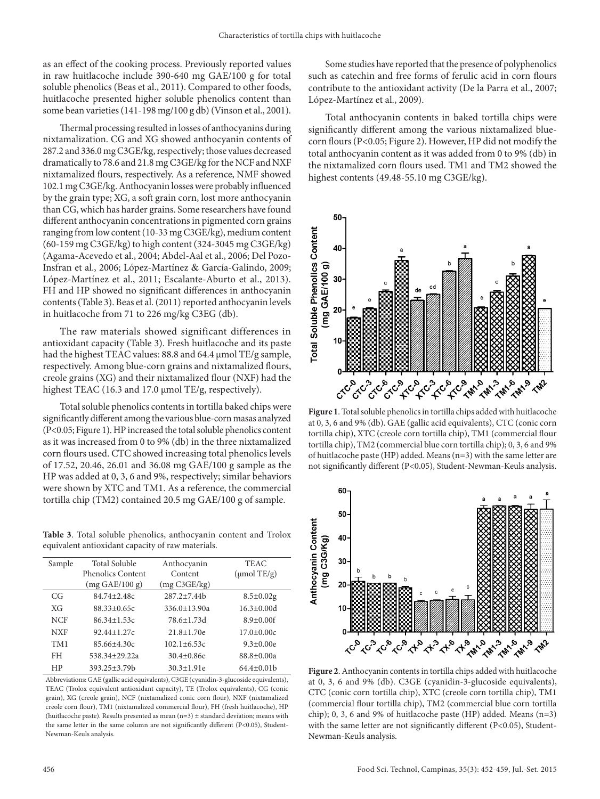as an effect of the cooking process. Previously reported values in raw huitlacoche include 390-640 mg GAE/100 g for total soluble phenolics (Beas et al., 2011). Compared to other foods, huitlacoche presented higher soluble phenolics content than some bean varieties (141-198 mg/100 g db) (Vinson et al., 2001).

Thermal processing resulted in losses of anthocyanins during nixtamalization. CG and XG showed anthocyanin contents of 287.2 and 336.0 mg C3GE/kg, respectively; those values decreased dramatically to 78.6 and 21.8 mg C3GE/kg for the NCF and NXF nixtamalized flours, respectively. As a reference, NMF showed 102.1 mg C3GE/kg. Anthocyanin losses were probably influenced by the grain type; XG, a soft grain corn, lost more anthocyanin than CG, which has harder grains. Some researchers have found different anthocyanin concentrations in pigmented corn grains ranging from low content (10-33 mg C3GE/kg), medium content (60-159 mg C3GE/kg) to high content (324-3045 mg C3GE/kg) (Agama-Acevedo et al., 2004; Abdel-Aal et al., 2006; Del Pozo-Insfran et al., 2006; López-Martínez & García-Galindo, 2009; López-Martínez et al., 2011; Escalante-Aburto et al., 2013). FH and HP showed no significant differences in anthocyanin contents (Table 3). Beas et al. (2011) reported anthocyanin levels in huitlacoche from 71 to 226 mg/kg C3EG (db).

The raw materials showed significant differences in antioxidant capacity (Table 3). Fresh huitlacoche and its paste had the highest TEAC values: 88.8 and 64.4 μmol TE/g sample, respectively. Among blue-corn grains and nixtamalized flours, creole grains (XG) and their nixtamalized flour (NXF) had the highest TEAC (16.3 and 17.0 μmol TE/g, respectively).

Total soluble phenolics contents in tortilla baked chips were significantly different among the various blue-corn masas analyzed (P<0.05; Figure 1). HP increased the total soluble phenolics content as it was increased from 0 to 9% (db) in the three nixtamalized corn flours used. CTC showed increasing total phenolics levels of 17.52, 20.46, 26.01 and 36.08 mg GAE/100 g sample as the HP was added at 0, 3, 6 and 9%, respectively; similar behaviors were shown by XTC and TM1. As a reference, the commercial tortilla chip (TM2) contained 20.5 mg GAE/100 g of sample.

**Table 3**. Total soluble phenolics, anthocyanin content and Trolox equivalent antioxidant capacity of raw materials.

| Sample     | <b>Total Soluble</b>     | Anthocyanin        | <b>TEAC</b>      |
|------------|--------------------------|--------------------|------------------|
|            | Phenolics Content        | Content            | $\mu$ mol TE/g)  |
|            | $(mg \text{ GAE}/100 g)$ | (mg C3GE/kg)       |                  |
| CG         | $84.74 + 2.48c$          | $287.2 + 7.44$     | $8.5 \pm 0.02$ g |
| XG         | $88.33 + 0.65c$          | $336.0 \pm 13.90a$ | $16.3 + 0.00d$   |
| <b>NCF</b> | $86.34 + 1.53c$          | 78.6+1.73d         | $8.9 + 0.00$ f   |
| <b>NXF</b> | $92.44 \pm 1.27c$        | $21.8 \pm 1.70e$   | $17.0 \pm 0.00c$ |
| TM1        | $85.66 + 4.30c$          | $102.1 + 6.53c$    | $9.3 \pm 0.00e$  |
| FH         | 538.34±29.22a            | $30.4 \pm 0.86e$   | $88.8 \pm 0.00a$ |
| HP         | 393.25±3.79b             | $30.3 \pm 1.91e$   | $64.4 \pm 0.01$  |

Abbreviations: GAE (gallic acid equivalents), C3GE (cyanidin-3-glucoside equivalents), TEAC (Trolox equivalent antioxidant capacity), TE (Trolox equivalents), CG (conic grain), XG (creole grain), NCF (nixtamalized conic corn flour), NXF (nixtamalized creole corn flour), TM1 (nixtamalized commercial flour), FH (fresh huitlacoche), HP (huitlacoche paste). Results presented as mean  $(n=3) \pm$  standard deviation; means with the same letter in the same column are not significantly different (P<0.05), Student-Newman-Keuls analysis.

Some studies have reported that the presence of polyphenolics such as catechin and free forms of ferulic acid in corn flours contribute to the antioxidant activity (De la Parra et al., 2007; López-Martínez et al., 2009).

Total anthocyanin contents in baked tortilla chips were significantly different among the various nixtamalized bluecorn flours (P<0.05; Figure 2). However, HP did not modify the total anthocyanin content as it was added from 0 to 9% (db) in the nixtamalized corn flours used. TM1 and TM2 showed the highest contents (49.48-55.10 mg C3GE/kg).



**Figure 1**. Total soluble phenolics in tortilla chips added with huitlacoche at 0, 3, 6 and 9% (db). GAE (gallic acid equivalents), CTC (conic corn tortilla chip), XTC (creole corn tortilla chip), TM1 (commercial flour tortilla chip), TM2 (commercial blue corn tortilla chip); 0, 3, 6 and 9% of huitlacoche paste (HP) added. Means (n=3) with the same letter are not significantly different (P<0.05), Student-Newman-Keuls analysis.



**Figure 2**. Anthocyanin contents in tortilla chips added with huitlacoche at 0, 3, 6 and 9% (db). C3GE (cyanidin-3-glucoside equivalents), CTC (conic corn tortilla chip), XTC (creole corn tortilla chip), TM1 (commercial flour tortilla chip), TM2 (commercial blue corn tortilla chip); 0, 3, 6 and 9% of huitlacoche paste (HP) added. Means (n=3) with the same letter are not significantly different (P<0.05), Student-Newman-Keuls analysis.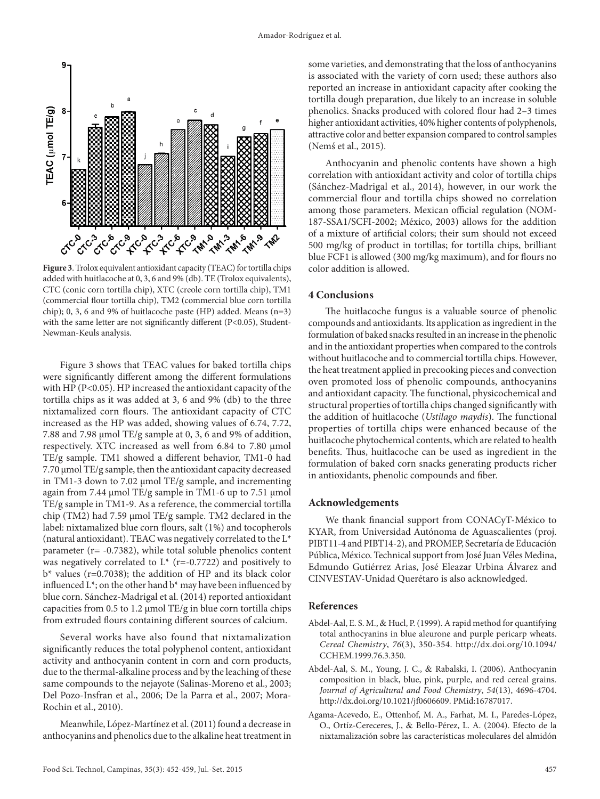

**Figure 3**. Trolox equivalent antioxidant capacity (TEAC) for tortilla chips added with huitlacoche at 0, 3, 6 and 9% (db). TE (Trolox equivalents), CTC (conic corn tortilla chip), XTC (creole corn tortilla chip), TM1 (commercial flour tortilla chip), TM2 (commercial blue corn tortilla chip); 0, 3, 6 and 9% of huitlacoche paste (HP) added. Means (n=3) with the same letter are not significantly different (P<0.05), Student-Newman-Keuls analysis.

Figure 3 shows that TEAC values for baked tortilla chips were significantly different among the different formulations with HP (P<0.05). HP increased the antioxidant capacity of the tortilla chips as it was added at 3, 6 and 9% (db) to the three nixtamalized corn flours. The antioxidant capacity of CTC increased as the HP was added, showing values of 6.74, 7.72, 7.88 and 7.98 µmol TE/g sample at 0, 3, 6 and 9% of addition, respectively. XTC increased as well from 6.84 to 7.80 µmol TE/g sample. TM1 showed a different behavior, TM1-0 had 7.70 µmol TE/g sample, then the antioxidant capacity decreased in TM1-3 down to 7.02 µmol TE/g sample, and incrementing again from 7.44 µmol TE/g sample in TM1-6 up to 7.51 µmol TE/g sample in TM1-9. As a reference, the commercial tortilla chip (TM2) had 7.59 µmol TE/g sample. TM2 declared in the label: nixtamalized blue corn flours, salt (1%) and tocopherols (natural antioxidant). TEAC was negatively correlated to the L\* parameter (r= -0.7382), while total soluble phenolics content was negatively correlated to  $L^*$  (r=-0.7722) and positively to  $b^*$  values (r=0.7038); the addition of HP and its black color influenced  $L^*$ ; on the other hand  $b^*$  may have been influenced by blue corn. Sánchez-Madrigal et al. (2014) reported antioxidant capacities from  $0.5$  to  $1.2 \mu$ mol TE/g in blue corn tortilla chips from extruded flours containing different sources of calcium.

Several works have also found that nixtamalization significantly reduces the total polyphenol content, antioxidant activity and anthocyanin content in corn and corn products, due to the thermal-alkaline process and by the leaching of these same compounds to the nejayote (Salinas-Moreno et al., 2003; Del Pozo-Insfran et al., 2006; De la Parra et al., 2007; Mora-Rochin et al., 2010).

Meanwhile, López-Martínez et al. (2011) found a decrease in anthocyanins and phenolics due to the alkaline heat treatment in some varieties, and demonstrating that the loss of anthocyanins is associated with the variety of corn used; these authors also reported an increase in antioxidant capacity after cooking the tortilla dough preparation, due likely to an increase in soluble phenolics. Snacks produced with colored flour had 2–3 times higher antioxidant activities, 40% higher contents of polyphenols, attractive color and better expansion compared to control samples (Nemś et al., 2015).

Anthocyanin and phenolic contents have shown a high correlation with antioxidant activity and color of tortilla chips (Sánchez-Madrigal et al., 2014), however, in our work the commercial flour and tortilla chips showed no correlation among those parameters. Mexican official regulation (NOM-187-SSA1/SCFI-2002; México, 2003) allows for the addition of a mixture of artificial colors; their sum should not exceed 500 mg/kg of product in tortillas; for tortilla chips, brilliant blue FCF1 is allowed (300 mg/kg maximum), and for flours no color addition is allowed.

## **4 Conclusions**

The huitlacoche fungus is a valuable source of phenolic compounds and antioxidants. Its application as ingredient in the formulation of baked snacks resulted in an increase in the phenolic and in the antioxidant properties when compared to the controls without huitlacoche and to commercial tortilla chips. However, the heat treatment applied in precooking pieces and convection oven promoted loss of phenolic compounds, anthocyanins and antioxidant capacity. The functional, physicochemical and structural properties of tortilla chips changed significantly with the addition of huitlacoche (*Ustilago maydis*). The functional properties of tortilla chips were enhanced because of the huitlacoche phytochemical contents, which are related to health benefits. Thus, huitlacoche can be used as ingredient in the formulation of baked corn snacks generating products richer in antioxidants, phenolic compounds and fiber.

#### **Acknowledgements**

We thank financial support from CONACyT-México to KYAR, from Universidad Autónoma de Aguascalientes (proj. PIBT11-4 and PIBT14-2), and PROMEP, Secretaría de Educación Pública, México. Technical support from José Juan Véles Medina, Edmundo Gutiérrez Arias, José Eleazar Urbina Álvarez and CINVESTAV-Unidad Querétaro is also acknowledged.

#### **References**

- Abdel-Aal, E. S. M., & Hucl, P. (1999). A rapid method for quantifying total anthocyanins in blue aleurone and purple pericarp wheats. *Cereal Chemistry*, *76*(3), 350-354. [http://dx.doi.org/10.1094/](http://dx.doi.org/10.1094/CCHEM.1999.76.3.350) [CCHEM.1999.76.3.350.](http://dx.doi.org/10.1094/CCHEM.1999.76.3.350)
- Abdel-Aal, S. M., Young, J. C., & Rabalski, I. (2006). Anthocyanin composition in black, blue, pink, purple, and red cereal grains. *Journal of Agricultural and Food Chemistry*, *54*(13), 4696-4704. [http://dx.doi.org/10.1021/jf0606609.](http://dx.doi.org/10.1021/jf0606609) [PMid:16787017.](http://www.ncbi.nlm.nih.gov/entrez/query.fcgi?cmd=Retrieve&db=PubMed&list_uids=16787017&dopt=Abstract)
- Agama-Acevedo, E., Ottenhof, M. A., Farhat, M. I., Paredes-López, O., Ortíz-Cereceres, J., & Bello-Pérez, L. A. (2004). Efecto de la nixtamalización sobre las características moleculares del almidón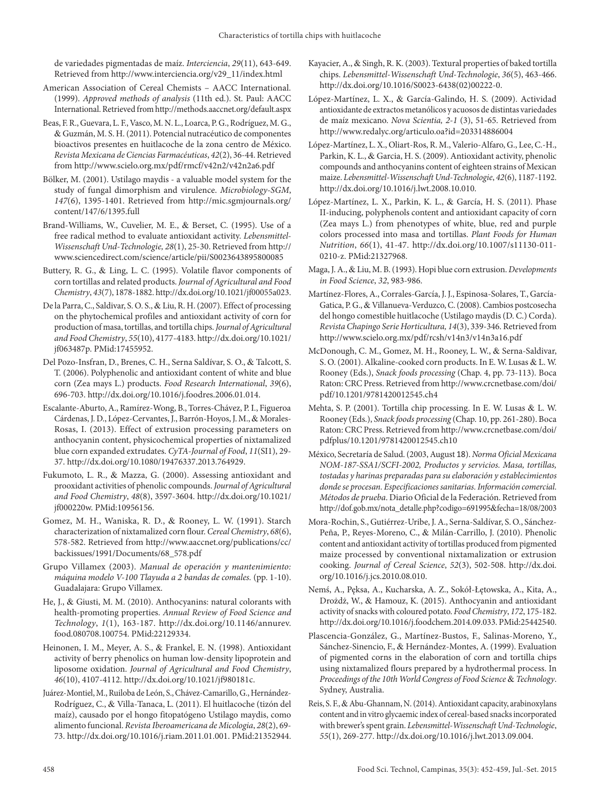de variedades pigmentadas de maíz. *Interciencia*, *29*(11), 643-649. Retrieved from http://www.interciencia.org/v29\_11/index.html

- American Association of Cereal Chemists AACC International. (1999). *Approved methods of analysis* (11th ed.). St. Paul: AACC International. Retrieved from http://methods.aaccnet.org/default.aspx
- Beas, F. R., Guevara, L. F., Vasco, M. N. L., Loarca, P. G., Rodríguez, M. G., & Guzmán, M. S. H. (2011). Potencial nutracéutico de componentes bioactivos presentes en huitlacoche de la zona centro de México. *Revista Mexicana de Ciencias Farmacéuticas*, *42*(2), 36-44. Retrieved from http://www.scielo.org.mx/pdf/rmcf/v42n2/v42n2a6.pdf
- Bölker, M. (2001). Ustilago maydis a valuable model system for the study of fungal dimorphism and virulence. *Microbiology-SGM*, *147*(6), 1395-1401. Retrieved from http://mic.sgmjournals.org/ content/147/6/1395.full
- Brand-Williams, W., Cuvelier, M. E., & Berset, C. (1995). Use of a free radical method to evaluate antioxidant activity. *Lebensmittel-Wissenschaft Und-Technologie, 28*(1), 25-30. Retrieved from http:// www.sciencedirect.com/science/article/pii/S0023643895800085
- Buttery, R. G., & Ling, L. C. (1995). Volatile flavor components of corn tortillas and related products. *Journal of Agricultural and Food Chemistry*, *43*(7), 1878-1882.<http://dx.doi.org/10.1021/jf00055a023>.
- De la Parra, C., Saldivar, S. O. S., & Liu, R. H. (2007). Effect of processing on the phytochemical profiles and antioxidant activity of corn for production of masa, tortillas, and tortilla chips. *Journal of Agricultural and Food Chemistry*, *55*(10), 4177-4183. [http://dx.doi.org/10.1021/](http://dx.doi.org/10.1021/jf063487p) [jf063487p](http://dx.doi.org/10.1021/jf063487p)[. PMid:17455952.](http://www.ncbi.nlm.nih.gov/entrez/query.fcgi?cmd=Retrieve&db=PubMed&list_uids=17455952&dopt=Abstract)
- Del Pozo-Insfran, D., Brenes, C. H., Serna Saldívar, S. O., & Talcott, S. T. (2006). Polyphenolic and antioxidant content of white and blue corn (Zea mays L.) products. *Food Research International*, *39*(6), 696-703. [http://dx.doi.org/10.1016/j.foodres.2006.01.014.](http://dx.doi.org/10.1016/j.foodres.2006.01.014)
- Escalante-Aburto, A., Ramírez-Wong, B., Torres-Chávez, P. I., Figueroa Cárdenas, J. D., López-Cervantes, J., Barrón-Hoyos, J. M., & Morales-Rosas, I. (2013). Effect of extrusion processing parameters on anthocyanin content, physicochemical properties of nixtamalized blue corn expanded extrudates. *CyTA-Journal of Food*, *11*(SI1), 29- 37. [http://dx.doi.org/10.1080/19476337.2013.764929.](http://dx.doi.org/10.1080/19476337.2013.764929)
- Fukumoto, L. R., & Mazza, G. (2000). Assessing antioxidant and prooxidant activities of phenolic compounds. *Journal of Agricultural and Food Chemistry*, *48*(8), 3597-3604. [http://dx.doi.org/10.1021/](http://dx.doi.org/10.1021/jf000220w) [jf000220w](http://dx.doi.org/10.1021/jf000220w)[. PMid:10956156.](http://www.ncbi.nlm.nih.gov/entrez/query.fcgi?cmd=Retrieve&db=PubMed&list_uids=10956156&dopt=Abstract)
- Gomez, M. H., Waniska, R. D., & Rooney, L. W. (1991). Starch characterization of nixtamalized corn flour. *Cereal Chemistry*, *68*(6), 578-582. Retrieved from http://www.aaccnet.org/publications/cc/ backissues/1991/Documents/68\_578.pdf
- Grupo Villamex (2003). *Manual de operación y mantenimiento: máquina modelo V-100 Tlayuda a 2 bandas de comales.* (pp. 1-10). Guadalajara: Grupo Villamex.
- He, J., & Giusti, M. M. (2010). Anthocyanins: natural colorants with health-promoting properties. *Annual Review of Food Science and Technology*, *1*(1), 163-187. [http://dx.doi.org/10.1146/annurev.](http://dx.doi.org/10.1146/annurev.food.080708.100754) [food.080708.100754](http://dx.doi.org/10.1146/annurev.food.080708.100754)[. PMid:22129334.](http://www.ncbi.nlm.nih.gov/entrez/query.fcgi?cmd=Retrieve&db=PubMed&list_uids=22129334&dopt=Abstract)
- Heinonen, I. M., Meyer, A. S., & Frankel, E. N. (1998). Antioxidant activity of berry phenolics on human low-density lipoprotein and liposome oxidation. *Journal of Agricultural and Food Chemistry*, *46*(10), 4107-4112.<http://dx.doi.org/10.1021/jf980181c>.
- Juárez-Montiel, M., Ruiloba de León, S., Chávez-Camarillo, G., Hernández-Rodríguez, C., & Villa-Tanaca, L. (2011). El huitlacoche (tizón del maíz), causado por el hongo fitopatógeno Ustilago maydis, como alimento funcional. *Revista Iberoamericana de Micologia*, *28*(2), 69- 73. http://dx.doi.org/10.1016/j.riam.2011.01.001[. PMid:21352944.](http://www.ncbi.nlm.nih.gov/entrez/query.fcgi?cmd=Retrieve&db=PubMed&list_uids=21352944&dopt=Abstract)
- Kayacier, A., & Singh, R. K. (2003). Textural properties of baked tortilla chips. *Lebensmittel-Wissenschaft Und-Technologie*, *36*(5), 463-466. [http://dx.doi.org/10.1016/S0023-6438\(02\)00222-0.](http://dx.doi.org/10.1016/S0023-6438(02)00222-0)
- López-Martínez, L. X., & García-Galindo, H. S. (2009). Actividad antioxidante de extractos metanólicos y acuosos de distintas variedades de maíz mexicano. *Nova Scientia, 2-1* (3), 51-65. Retrieved from http://www.redalyc.org/articulo.oa?id=203314886004
- López-Martínez, L. X., Oliart-Ros, R. M., Valerio-Alfaro, G., Lee, C.-H., Parkin, K. L., & Garcia, H. S. (2009). Antioxidant activity, phenolic compounds and anthocyanins content of eighteen strains of Mexican maize. *Lebensmittel-Wissenschaft Und-Technologie*, *42*(6), 1187-1192. <http://dx.doi.org/10.1016/j.lwt.2008.10.010>.
- López-Martínez, L. X., Parkin, K. L., & García, H. S. (2011). Phase II-inducing, polyphenols content and antioxidant capacity of corn (Zea mays L.) from phenotypes of white, blue, red and purple colors processed into masa and tortillas. *Plant Foods for Human Nutrition*, *66*(1), 41-47. [http://dx.doi.org/10.1007/s11130-011-](http://dx.doi.org/10.1007/s11130-011-0210-z) [0210-z.](http://dx.doi.org/10.1007/s11130-011-0210-z) [PMid:21327968.](http://www.ncbi.nlm.nih.gov/entrez/query.fcgi?cmd=Retrieve&db=PubMed&list_uids=21327968&dopt=Abstract)
- Maga, J. A., & Liu, M. B. (1993). Hopi blue corn extrusion. *Developments in Food Science*, *32*, 983-986.
- Martínez-Flores, A., Corrales-García, J. J., Espinosa-Solares, T., García-Gatica, P. G., & Villanueva-Verduzco, C. (2008). Cambios postcosecha del hongo comestible huitlacoche (Ustilago maydis (D. C.) Corda). *Revista Chapingo Serie Horticultura, 14*(3), 339-346. Retrieved from http://www.scielo.org.mx/pdf/rcsh/v14n3/v14n3a16.pdf
- McDonough, C. M., Gomez, M. H., Rooney, L. W., & Serna-Saldivar, S. O. (2001). Alkaline-cooked corn products. In E. W. Lusas & L. W. Rooney (Eds.), *Snack foods processing* (Chap. 4, pp. 73-113). Boca Raton: CRC Press. Retrieved from http://www.crcnetbase.com/doi/ pdf/10.1201/9781420012545.ch4
- Mehta, S. P. (2001). Tortilla chip processing. In E. W. Lusas & L. W. Rooney (Eds.), *Snack foods processing* (Chap. 10, pp. 261-280). Boca Raton: CRC Press. Retrieved from http://www.crcnetbase.com/doi/ pdfplus/10.1201/9781420012545.ch10
- México, Secretaría de Salud. (2003, August 18). *Norma Oficial Mexicana NOM-187-SSA1/SCFI-2002, Productos y servicios. Masa, tortillas, tostadas y harinas preparadas para su elaboración y establecimientos donde se procesan. Especificaciones sanitarias. Información comercial. Métodos de prueba*. Diario Oficial de la Federación. Retrieved from http://dof.gob.mx/nota\_detalle.php?codigo=691995&fecha=18/08/2003
- Mora-Rochin, S., Gutiérrez-Uribe, J. A., Serna-Saldívar, S. O., Sánchez-Peña, P., Reyes-Moreno, C., & Milán-Carrillo, J. (2010). Phenolic content and antioxidant activity of tortillas produced from pigmented maize processed by conventional nixtamalization or extrusion cooking. *Journal of Cereal Science*, *52*(3), 502-508. [http://dx.doi.](http://dx.doi.org/10.1016/j.jcs.2010.08.010) [org/10.1016/j.jcs.2010.08.010](http://dx.doi.org/10.1016/j.jcs.2010.08.010).
- Nemś, A., Pęksa, A., Kucharska, A. Z., Sokół-Łętowska, A., Kita, A., Drożdż, W., & Hamouz, K. (2015). Anthocyanin and antioxidant activity of snacks with coloured potato. *Food Chemistry*, *172*, 175-182. [http://dx.doi.org/10.1016/j.foodchem.2014.09.033.](http://dx.doi.org/10.1016/j.foodchem.2014.09.033) [PMid:25442540.](http://www.ncbi.nlm.nih.gov/entrez/query.fcgi?cmd=Retrieve&db=PubMed&list_uids=25442540&dopt=Abstract)
- Plascencia-González, G., Martínez-Bustos, F., Salinas-Moreno, Y., Sánchez-Sinencio, F., & Hernández-Montes, A. (1999). Evaluation of pigmented corns in the elaboration of corn and tortilla chips using nixtamalized flours prepared by a hydrothermal process. In *Proceedings of the 10th World Congress of Food Science* & *Technology*. Sydney, Australia.
- Reis, S. F., & Abu-Ghannam, N. (2014). Antioxidant capacity, arabinoxylans content and in vitro glycaemic index of cereal-based snacks incorporated with brewer's spent grain. *Lebensmittel-Wissenschaft Und-Technologie*, *55*(1), 269-277. [http://dx.doi.org/10.1016/j.lwt.2013.09.004.](http://dx.doi.org/10.1016/j.lwt.2013.09.004)